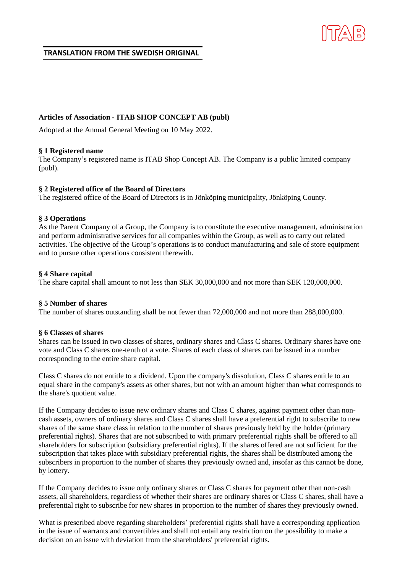# **TRANSLATION FROM THE SWEDISH ORIGINAL**

# **Articles of Association - ITAB SHOP CONCEPT AB (publ)**

Adopted at the Annual General Meeting on 10 May 2022.

# **§ 1 Registered name**

The Company's registered name is ITAB Shop Concept AB. The Company is a public limited company (publ).

## **§ 2 Registered office of the Board of Directors**

The registered office of the Board of Directors is in Jönköping municipality, Jönköping County.

## **§ 3 Operations**

As the Parent Company of a Group, the Company is to constitute the executive management, administration and perform administrative services for all companies within the Group, as well as to carry out related activities. The objective of the Group's operations is to conduct manufacturing and sale of store equipment and to pursue other operations consistent therewith.

## **§ 4 Share capital**

The share capital shall amount to not less than SEK 30,000,000 and not more than SEK 120,000,000.

### **§ 5 Number of shares**

The number of shares outstanding shall be not fewer than 72,000,000 and not more than 288,000,000.

### **§ 6 Classes of shares**

Shares can be issued in two classes of shares, ordinary shares and Class C shares. Ordinary shares have one vote and Class C shares one-tenth of a vote. Shares of each class of shares can be issued in a number corresponding to the entire share capital.

Class C shares do not entitle to a dividend. Upon the company's dissolution, Class C shares entitle to an equal share in the company's assets as other shares, but not with an amount higher than what corresponds to the share's quotient value.

If the Company decides to issue new ordinary shares and Class C shares, against payment other than noncash assets, owners of ordinary shares and Class C shares shall have a preferential right to subscribe to new shares of the same share class in relation to the number of shares previously held by the holder (primary preferential rights). Shares that are not subscribed to with primary preferential rights shall be offered to all shareholders for subscription (subsidiary preferential rights). If the shares offered are not sufficient for the subscription that takes place with subsidiary preferential rights, the shares shall be distributed among the subscribers in proportion to the number of shares they previously owned and, insofar as this cannot be done, by lottery.

If the Company decides to issue only ordinary shares or Class C shares for payment other than non-cash assets, all shareholders, regardless of whether their shares are ordinary shares or Class C shares, shall have a preferential right to subscribe for new shares in proportion to the number of shares they previously owned.

What is prescribed above regarding shareholders' preferential rights shall have a corresponding application in the issue of warrants and convertibles and shall not entail any restriction on the possibility to make a decision on an issue with deviation from the shareholders' preferential rights.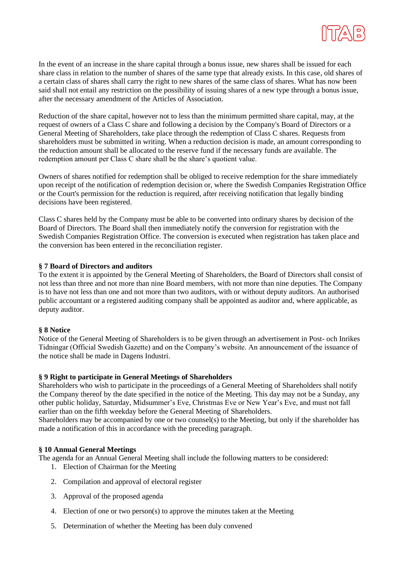

In the event of an increase in the share capital through a bonus issue, new shares shall be issued for each share class in relation to the number of shares of the same type that already exists. In this case, old shares of a certain class of shares shall carry the right to new shares of the same class of shares. What has now been said shall not entail any restriction on the possibility of issuing shares of a new type through a bonus issue, after the necessary amendment of the Articles of Association.

Reduction of the share capital, however not to less than the minimum permitted share capital, may, at the request of owners of a Class C share and following a decision by the Company's Board of Directors or a General Meeting of Shareholders, take place through the redemption of Class C shares. Requests from shareholders must be submitted in writing. When a reduction decision is made, an amount corresponding to the reduction amount shall be allocated to the reserve fund if the necessary funds are available. The redemption amount per Class C share shall be the share's quotient value.

Owners of shares notified for redemption shall be obliged to receive redemption for the share immediately upon receipt of the notification of redemption decision or, where the Swedish Companies Registration Office or the Court's permission for the reduction is required, after receiving notification that legally binding decisions have been registered.

Class C shares held by the Company must be able to be converted into ordinary shares by decision of the Board of Directors. The Board shall then immediately notify the conversion for registration with the Swedish Companies Registration Office. The conversion is executed when registration has taken place and the conversion has been entered in the reconciliation register.

## **§ 7 Board of Directors and auditors**

To the extent it is appointed by the General Meeting of Shareholders, the Board of Directors shall consist of not less than three and not more than nine Board members, with not more than nine deputies. The Company is to have not less than one and not more than two auditors, with or without deputy auditors. An authorised public accountant or a registered auditing company shall be appointed as auditor and, where applicable, as deputy auditor.

### **§ 8 Notice**

Notice of the General Meeting of Shareholders is to be given through an advertisement in Post- och Inrikes Tidningar (Official Swedish Gazette) and on the Company's website. An announcement of the issuance of the notice shall be made in Dagens Industri.

### **§ 9 Right to participate in General Meetings of Shareholders**

Shareholders who wish to participate in the proceedings of a General Meeting of Shareholders shall notify the Company thereof by the date specified in the notice of the Meeting. This day may not be a Sunday, any other public holiday, Saturday, Midsummer's Eve, Christmas Eve or New Year's Eve, and must not fall earlier than on the fifth weekday before the General Meeting of Shareholders.

Shareholders may be accompanied by one or two counsel(s) to the Meeting, but only if the shareholder has made a notification of this in accordance with the preceding paragraph.

### **§ 10 Annual General Meetings**

The agenda for an Annual General Meeting shall include the following matters to be considered:

- 1. Election of Chairman for the Meeting
- 2. Compilation and approval of electoral register
- 3. Approval of the proposed agenda
- 4. Election of one or two person(s) to approve the minutes taken at the Meeting
- 5. Determination of whether the Meeting has been duly convened